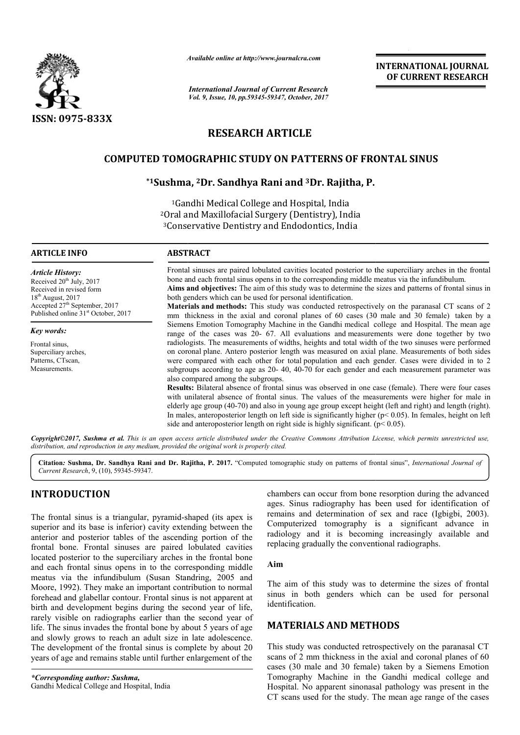

*Available online at http://www.journal http://www.journalcra.com*

*International Journal of Current Research Vol. 9, Issue, 10, pp.59345-59347, October, 2017* **INTERNATIONAL JOURNAL OF CURRENT RESEARCH** 

# **RESEARCH ARTICLE**

# **COMPUTED TOMOGRAPHIC STUDY ON PATTERNS OF FRONTAL SINUS SINUS**

## **\*1Sushma, Sushma, 2Dr. Sandhya Rani and 3Dr. Rajitha, P.**

1Gandhi Gandhi Medical College and Hospital, India <sup>2</sup>Oral and Maxillofacial Surgery (Dentistry), India 3Conservative Dentistry and Endodontics, India Conservative

### **ARTICLE INFO ABSTRACT**

*Article History:* Received 20<sup>th</sup> July, 2017

Frontal sinuses are paired lobulated cavities located posterior to the superciliary arches in the frontal bone and each frontal sinus opens in to the corresponding middle meatus via the infundibulum.

**Aims and objectives:** The aim of this study was to determine the sizes and patterns of frontal sinus in both genders which can be used for personal identification.

Received in revised form  $18^{th}$  August, 2017 Accepted 27<sup>th</sup> September, 2017 Published online 31<sup>st</sup> October, 2017 *Key words:*

Frontal sinus, Superciliary arches, Patterns, CTscan, **Measurements** 

**Materials and methods:** This study was conducted retrospectively on the paranasal CT scans of 2 mm thickness in the axial and coronal planes of  $60$  cases  $(30 \text{ male and } 30 \text{ female})$  taken by a Siemens Emotion Tomography Machine in the Gandhi medical college and Hospital. The mean age range of the cases was 20 20- 67. All evaluations and measurements were done together by two radiologists. The measurements of widths, heights and total width of the two sinuses were performed range of the cases was 20- 67. All evaluations and measurements were done together by two radiologists. The measurements of widths, heights and total width of the two sinuses were performed on coronal plane. Antero posteri were compared with each other for total population and each gender. Cases were divided in to 2 were compared with each other for total population and each gender. Cases were divided in to 2 subgroups according to age as 20-40, 40-70 for each gender and each measurement parameter was also compared among the subgroups.

**Results:** Bilateral absence of frontal sinus was observed in one case (female). There were four cases with unilateral absence of frontal sinus. The values of the measurements were higher for male in elderly age group (40-70) and also in young age group except height (left and right) and length (ri In males, anteroposterior length on left side is significantly higher ( $p$ < 0.05). In females, height on left side and anteroposterior length on right side is highly significant.  $(p< 0.05)$ . ence of frontal sinus was observed in one case (female). There were four cases<br>the of frontal sinus. The values of the measurements were higher for male in<br>70) and also in young age group except height (left and right) and

Copyright©2017, Sushma et al. This is an open access article distributed under the Creative Commons Attribution License, which permits unrestricted use, *distribution, and reproduction in any medium, provided the original work is properly cited.*

Citation: Sushma, Dr. Sandhya Rani and Dr. Rajitha, P. 2017. "Computed tomographic study on patterns of frontal sinus", *International Journal of Current Research*, 9, (10), 59345-59347.

# **INTRODUCTION**

The frontal sinus is a triangular, pyramid-shaped (its apex is superior and its base is inferior) cavity extending between the anterior and posterior tables of the ascending portion of the frontal bone. Frontal sinuses are paired lobulated cavities located posterior to the superciliary arches in the frontal bone and each frontal sinus opens in to the corresponding middle and each frontal sinus opens in to the corresponding middle meatus via the infundibulum (Susan Standring, 2005 and Moore, 1992). They make an important contribution to normal forehead and glabellar contour. Frontal sinus is not apparent at birth and development begins during the second year of life, rarely visible on radiographs earlier than the second year of life. The sinus invades the frontal bone by about 5 years of age and slowly grows to reach an adult size in late adolescence. The development of the frontal sinus is complete by about 20 years of age and remains stable until further enlargement of the **CON**<br> **EXECTS** and the strangular, pyramid-shaped (its apex is emains and determination of sex and race (tgbigbi, 2003),<br>
asse is inferior) cavity extending between the computerized tomography is a significant advance in<br>

ages. Sinus radiography has been used for identification of remains and determination of sex and race (Igbigbi, 2003). Computerized tomography is a significant advance in radiology and it is becoming increasingly available and replacing gradually the conventional radiographs. from bone resorption during the advanced<br>hus radiography has been used for identification of<br>and determination of sex and race (Igbigbi, 2003). is a significant advance in and it is becoming increasingly available and radually the conventional radiographs.

#### **Aim**

The aim of this study was to determine the sizes of frontal The aim of this study was to determine the sizes of frontal sinus in both genders which can be used for personal identification.

## **MATERIALS AND METHODS METHODS**

This study was conducted retrospectively on the paranasal CT scans of 2 mm thickness in the axial and coronal planes of 60 cases (30 male and 30 female) taken by a Siemens Emotion Tomography Machine in the Gandhi medical college and Hospital. No apparent sinonasal pathology was present in the CT scans used for the study. The mean age range of the cases mm thickness in the axial and coronal<br>male and 30 female) taken by a Siem<br>hy Machine in the Gandhi medical<br>No apparent sinonasal pathology was p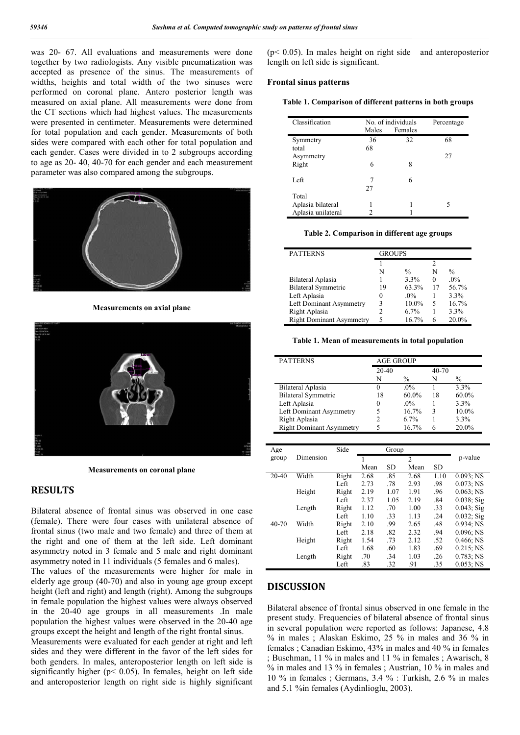was 20- 67. All evaluations and measurements were done together by two radiologists. Any visible pneumatization was accepted as presence of the sinus. The measurements of widths, heights and total width of the two sinuses were performed on coronal plane. Antero posterior length was measured on axial plane. All measurements were done from the CT sections which had highest values. The measurements were presented in centimeter. Measurements were determined for total population and each gender. Measurements of both sides were compared with each other for total population and each gender. Cases were divided in to 2 subgroups according to age as 20- 40, 40-70 for each gender and each measurement parameter was also compared among the subgroups.



**Measurements on axial plane**



**Measurements on coronal plane**

### **RESULTS**

Bilateral absence of frontal sinus was observed in one case (female). There were four cases with unilateral absence of frontal sinus (two male and two female) and three of them at the right and one of them at the left side. Left dominant asymmetry noted in 3 female and 5 male and right dominant asymmetry noted in 11 individuals (5 females and 6 males).

The values of the measurements were higher for male in elderly age group (40-70) and also in young age group except height (left and right) and length (right). Among the subgroups in female population the highest values were always observed in the 20-40 age groups in all measurements .In male population the highest values were observed in the 20-40 age groups except the height and length of the right frontal sinus.

Measurements were evaluated for each gender at right and left sides and they were different in the favor of the left sides for both genders. In males, anteroposterior length on left side is significantly higher ( $p$ < 0.05). In females, height on left side and anteroposterior length on right side is highly significant

(p< 0.05). In males height on right side and anteroposterior length on left side is significant.

#### **Frontal sinus patterns**

**Table 1. Comparison of different patterns in both groups**

| Classification     |       | No. of individuals | Percentage |
|--------------------|-------|--------------------|------------|
|                    | Males | Females            |            |
| Symmetry           | 36    | 32                 | 68         |
| total              | 68    |                    |            |
| Asymmetry          |       |                    | 27         |
| Right              | 6     | 8                  |            |
|                    |       |                    |            |
| Left               | 7     | 6                  |            |
|                    | 27    |                    |            |
| Total              |       |                    |            |
| Aplasia bilateral  |       |                    | 5          |
| Aplasia unilateral | 2     |                    |            |

#### **Table 2. Comparison in different age groups**

| <b>PATTERNS</b>                 | <b>GROUPS</b> |               |    |               |
|---------------------------------|---------------|---------------|----|---------------|
|                                 |               |               | 2  |               |
|                                 | N             | $\frac{0}{0}$ | N  | $\frac{0}{0}$ |
| Bilateral Aplasia               |               | 3.3%          | 0  | $.0\%$        |
| <b>Bilateral Symmetric</b>      | 19            | 63.3%         | 17 | 56.7%         |
| Left Aplasia                    | $\Omega$      | $.0\%$        |    | 3.3%          |
| Left Dominant Asymmetry         | ٩             | 10.0%         | 5  | 16.7%         |
| Right Aplasia                   |               | 6.7%          |    | 3.3%          |
| <b>Right Dominant Asymmetry</b> | 5             | 16.7%         | 6  | 20.0%         |

**Table 1. Mean of measurements in total population**

| <b>PATTERNS</b>                 | <b>AGE GROUP</b> |          |           |          |
|---------------------------------|------------------|----------|-----------|----------|
|                                 | $20 - 40$        |          | $40 - 70$ |          |
|                                 | N                | $\%$     | N         | $\%$     |
| Bilateral Aplasia               | $\Omega$         | $.0\%$   |           | 3.3%     |
| <b>Bilateral Symmetric</b>      | 18               | $60.0\%$ | 18        | $60.0\%$ |
| Left Aplasia                    | $\Omega$         | $.0\%$   |           | $3.3\%$  |
| Left Dominant Asymmetry         | 5                | 16.7%    | 3         | $10.0\%$ |
| Right Aplasia                   |                  | $6.7\%$  |           | $3.3\%$  |
| <b>Right Dominant Asymmetry</b> |                  | 16.7%    |           | 20.0%    |

| Age   |           | Side  | Group |           |                |      |               |
|-------|-----------|-------|-------|-----------|----------------|------|---------------|
| group | Dimension |       |       |           | $\overline{c}$ |      | p-value       |
|       |           |       | Mean  | <b>SD</b> | Mean           | SD.  |               |
| 20-40 | Width     | Right | 2.68  | .85       | 2.68           | 1.10 | 0.093; NS     |
|       |           | Left  | 2.73  | .78       | 2.93           | .98  | $0.073$ ; NS  |
|       | Height    | Right | 2.19  | 1.07      | 1.91           | .96  | $0.063$ ; NS  |
|       |           | Left  | 2.37  | 1.05      | 2.19           | .84  | $0.038$ ; Sig |
|       | Length    | Right | 1.12  | .70       | 1.00           | .33  | $0.043;$ Sig  |
|       |           | Left  | 1.10  | .33       | 1.13           | .24  | $0.032$ ; Sig |
| 40-70 | Width     | Right | 2.10  | .99       | 2.65           | .48  | 0.934; NS     |
|       |           | Left  | 2.18  | .82       | 2.32           | .94  | 0.096; NS     |
|       | Height    | Right | 1.54  | .73       | 2.12           | .52  | $0.466$ ; NS  |
|       |           | Left  | 1.68  | .60       | 1.83           | .69  | $0.215$ ; NS  |
|       | Length    | Right | .70   | .34       | 1.03           | .26  | 0.783; NS     |
|       |           | Left  | .83   | .32       | .91            | .35  | $0.053$ ; NS  |

## **DISCUSSION**

Bilateral absence of frontal sinus observed in one female in the present study. Frequencies of bilateral absence of frontal sinus in several population were reported as follows: Japanese, 4.8 % in males ; Alaskan Eskimo, 25 % in males and 36 % in females ; Canadian Eskimo, 43% in males and 40 % in females ; Buschman, 11 % in males and 11 % in females ; Awarisch, 8 % in males and 13 % in females ; Austrian, 10 % in males and 10 % in females ; Germans, 3.4 % : Turkish, 2.6 % in males and 5.1 %in females (Aydinlioglu, 2003).